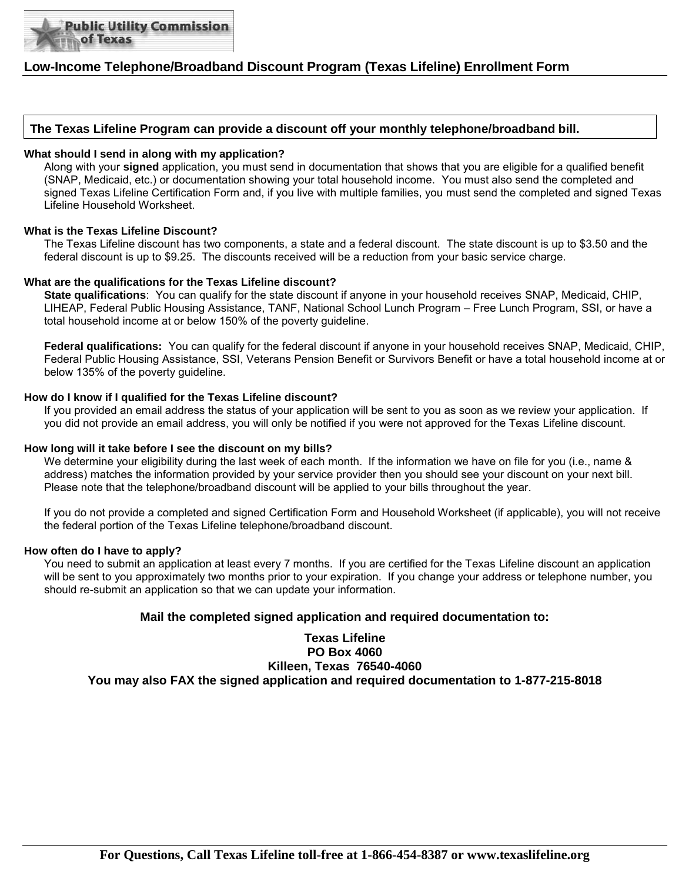

## **Low-Income Telephone/Broadband Discount Program (Texas Lifeline) Enrollment Form**

### **The Texas Lifeline Program can provide a discount off your monthly telephone/broadband bill.**

### **What should I send in along with my application?**

Along with your **signed** application, you must send in documentation that shows that you are eligible for a qualified benefit (SNAP, Medicaid, etc.) or documentation showing your total household income. You must also send the completed and signed Texas Lifeline Certification Form and, if you live with multiple families, you must send the completed and signed Texas Lifeline Household Worksheet.

### **What is the Texas Lifeline Discount?**

The Texas Lifeline discount has two components, a state and a federal discount. The state discount is up to \$3.50 and the federal discount is up to \$9.25. The discounts received will be a reduction from your basic service charge.

### **What are the qualifications for the Texas Lifeline discount?**

**State qualifications**: You can qualify for the state discount if anyone in your household receives SNAP, Medicaid, CHIP, LIHEAP, Federal Public Housing Assistance, TANF, National School Lunch Program – Free Lunch Program, SSI, or have a total household income at or below 150% of the poverty guideline.

**Federal qualifications:** You can qualify for the federal discount if anyone in your household receives SNAP, Medicaid, CHIP, Federal Public Housing Assistance, SSI, Veterans Pension Benefit or Survivors Benefit or have a total household income at or below 135% of the poverty guideline.

### **How do I know if I qualified for the Texas Lifeline discount?**

If you provided an email address the status of your application will be sent to you as soon as we review your application. If you did not provide an email address, you will only be notified if you were not approved for the Texas Lifeline discount.

### **How long will it take before I see the discount on my bills?**

We determine your eligibility during the last week of each month. If the information we have on file for you (i.e., name & address) matches the information provided by your service provider then you should see your discount on your next bill. Please note that the telephone/broadband discount will be applied to your bills throughout the year.

If you do not provide a completed and signed Certification Form and Household Worksheet (if applicable), you will not receive the federal portion of the Texas Lifeline telephone/broadband discount.

### **How often do I have to apply?**

You need to submit an application at least every 7 months. If you are certified for the Texas Lifeline discount an application will be sent to you approximately two months prior to your expiration. If you change your address or telephone number, you should re-submit an application so that we can update your information.

### **Mail the completed signed application and required documentation to:**

**Texas Lifeline PO Box 4060 Killeen, Texas 76540-4060 You may also FAX the signed application and required documentation to 1-877-215-8018**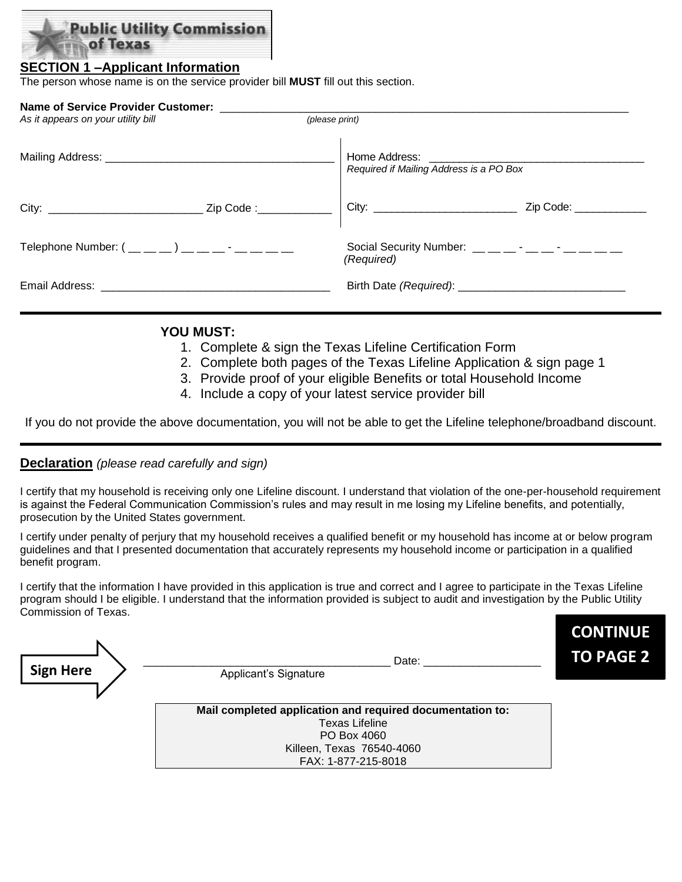

## **SECTION 1 –Applicant Information**

The person whose name is on the service provider bill **MUST** fill out this section.

| Name of Service Provider Customer:<br>As it appears on your utility bill |  | (please print)                                                                                                                                                                                                                                                                                                               |                       |  |  |  |  |
|--------------------------------------------------------------------------|--|------------------------------------------------------------------------------------------------------------------------------------------------------------------------------------------------------------------------------------------------------------------------------------------------------------------------------|-----------------------|--|--|--|--|
|                                                                          |  | Home Address: <u>_____________________</u><br>Required if Mailing Address is a PO Box                                                                                                                                                                                                                                        |                       |  |  |  |  |
|                                                                          |  |                                                                                                                                                                                                                                                                                                                              | Zip Code: ___________ |  |  |  |  |
| Telephone Number: $($ _ _ _ _ _ ) _ _ _ _ - _ _ _ _ _                    |  | Social Security Number: $\frac{1}{2}$ $\frac{1}{2}$ $\frac{1}{2}$ $\frac{1}{2}$ $\frac{1}{2}$ $\frac{1}{2}$ $\frac{1}{2}$ $\frac{1}{2}$ $\frac{1}{2}$ $\frac{1}{2}$ $\frac{1}{2}$ $\frac{1}{2}$ $\frac{1}{2}$ $\frac{1}{2}$ $\frac{1}{2}$ $\frac{1}{2}$ $\frac{1}{2}$ $\frac{1}{2}$ $\frac{1}{2}$ $\frac{1}{2$<br>(Required) |                       |  |  |  |  |
|                                                                          |  |                                                                                                                                                                                                                                                                                                                              |                       |  |  |  |  |

## **YOU MUST:**

- 1. Complete & sign the Texas Lifeline Certification Form
- 2. Complete both pages of the Texas Lifeline Application & sign page 1
- 3. Provide proof of your eligible Benefits or total Household Income
- 4. Include a copy of your latest service provider bill

If you do not provide the above documentation, you will not be able to get the Lifeline telephone/broadband discount.

## **Declaration** *(please read carefully and sign)*

I certify that my household is receiving only one Lifeline discount. I understand that violation of the one-per-household requirement is against the Federal Communication Commission's rules and may result in me losing my Lifeline benefits, and potentially, prosecution by the United States government.

I certify under penalty of perjury that my household receives a qualified benefit or my household has income at or below program guidelines and that I presented documentation that accurately represents my household income or participation in a qualified benefit program.

I certify that the information I have provided in this application is true and correct and I agree to participate in the Texas Lifeline program should I be eligible. I understand that the information provided is subject to audit and investigation by the Public Utility Commission of Texas.

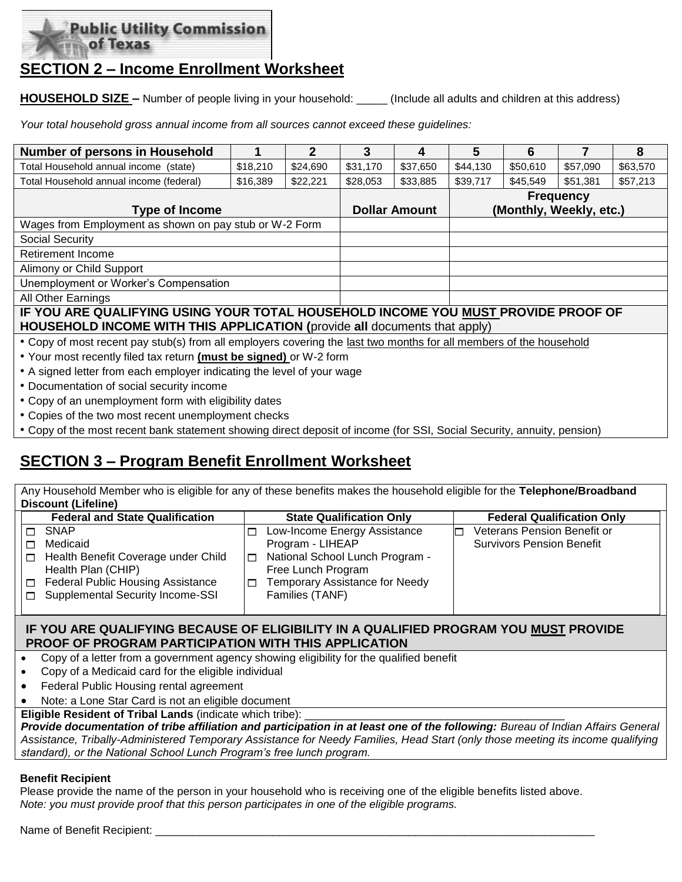

## **SECTION 2 – Income Enrollment Worksheet**

**HOUSEHOLD SIZE –** Number of people living in your household: (Include all adults and children at this address)

*Your total household gross annual income from all sources cannot exceed these guidelines:*

| <b>Number of persons in Household</b>                                                                                                                                                                                          |          | 2        | 3        | 4                    | 5                | 6                       |          | 8        |  |
|--------------------------------------------------------------------------------------------------------------------------------------------------------------------------------------------------------------------------------|----------|----------|----------|----------------------|------------------|-------------------------|----------|----------|--|
| Total Household annual income (state)<br>\$18,210                                                                                                                                                                              |          | \$24,690 | \$31,170 | \$37,650             | \$44,130         | \$50,610                | \$57,090 | \$63,570 |  |
| Total Household annual income (federal)                                                                                                                                                                                        | \$16,389 | \$22,221 | \$28,053 | \$33,885             | \$39,717         | \$45,549                | \$51,381 | \$57,213 |  |
|                                                                                                                                                                                                                                |          |          |          |                      | <b>Frequency</b> |                         |          |          |  |
| <b>Type of Income</b>                                                                                                                                                                                                          |          |          |          | <b>Dollar Amount</b> |                  | (Monthly, Weekly, etc.) |          |          |  |
| Wages from Employment as shown on pay stub or W-2 Form                                                                                                                                                                         |          |          |          |                      |                  |                         |          |          |  |
| Social Security                                                                                                                                                                                                                |          |          |          |                      |                  |                         |          |          |  |
| <b>Retirement Income</b>                                                                                                                                                                                                       |          |          |          |                      |                  |                         |          |          |  |
| Alimony or Child Support                                                                                                                                                                                                       |          |          |          |                      |                  |                         |          |          |  |
| Unemployment or Worker's Compensation                                                                                                                                                                                          |          |          |          |                      |                  |                         |          |          |  |
| <b>All Other Earnings</b>                                                                                                                                                                                                      |          |          |          |                      |                  |                         |          |          |  |
| IF YOU ARE QUALIFYING USING YOUR TOTAL HOUSEHOLD INCOME YOU MUST PROVIDE PROOF OF                                                                                                                                              |          |          |          |                      |                  |                         |          |          |  |
| <b>HOUSEHOLD INCOME WITH THIS APPLICATION (provide all documents that apply)</b>                                                                                                                                               |          |          |          |                      |                  |                         |          |          |  |
| • Copy of most recent pay stub(s) from all employers covering the last two months for all members of the household                                                                                                             |          |          |          |                      |                  |                         |          |          |  |
| . Your most recently filed tax return (must be signed) or W-2 form                                                                                                                                                             |          |          |          |                      |                  |                         |          |          |  |
| • A signed letter from each employer indicating the level of your wage                                                                                                                                                         |          |          |          |                      |                  |                         |          |          |  |
| The contract of contract and contract the contract of the contract of the contract of the contract of the contract of the contract of the contract of the contract of the contract of the contract of the contract of the cont |          |          |          |                      |                  |                         |          |          |  |

- Documentation of social security income
- Copy of an unemployment form with eligibility dates
- Copies of the two most recent unemployment checks
- Copy of the most recent bank statement showing direct deposit of income (for SSI, Social Security, annuity, pension)

## **SECTION 3 – Program Benefit Enrollment Worksheet**

Any Household Member who is eligible for any of these benefits makes the household eligible for the **Telephone/Broadband Discount (Lifeline)**

| <b>Federal and State Qualification</b>             | <b>State Qualification Only</b>            | <b>Federal Qualification Only</b> |
|----------------------------------------------------|--------------------------------------------|-----------------------------------|
| SNAP                                               | Low-Income Energy Assistance               | Veterans Pension Benefit or       |
| Medicaid                                           | Program - LIHEAP                           | <b>Survivors Pension Benefit</b>  |
| Health Benefit Coverage under Child<br>П           | National School Lunch Program -            |                                   |
| Health Plan (CHIP)                                 | Free Lunch Program                         |                                   |
| <b>Federal Public Housing Assistance</b><br>$\Box$ | <b>Temporary Assistance for Needy</b><br>п |                                   |
| □ Supplemental Security Income-SSI                 | Families (TANF)                            |                                   |
|                                                    |                                            |                                   |

## **IF YOU ARE QUALIFYING BECAUSE OF ELIGIBILITY IN A QUALIFIED PROGRAM YOU MUST PROVIDE PROOF OF PROGRAM PARTICIPATION WITH THIS APPLICATION**

- Copy of a letter from a government agency showing eligibility for the qualified benefit
- Copy of a Medicaid card for the eligible individual
- Federal Public Housing rental agreement
- Note: a Lone Star Card is not an eligible document
- **Eligible Resident of Tribal Lands (indicate which tribe):**

*Provide documentation of tribe affiliation and participation in at least one of the following: Bureau of Indian Affairs General Assistance, Tribally-Administered Temporary Assistance for Needy Families, Head Start (only those meeting its income qualifying standard), or the National School Lunch Program's free lunch program.*

## **Benefit Recipient**

Please provide the name of the person in your household who is receiving one of the eligible benefits listed above. *Note: you must provide proof that this person participates in one of the eligible programs.* 

## Name of Benefit Recipient: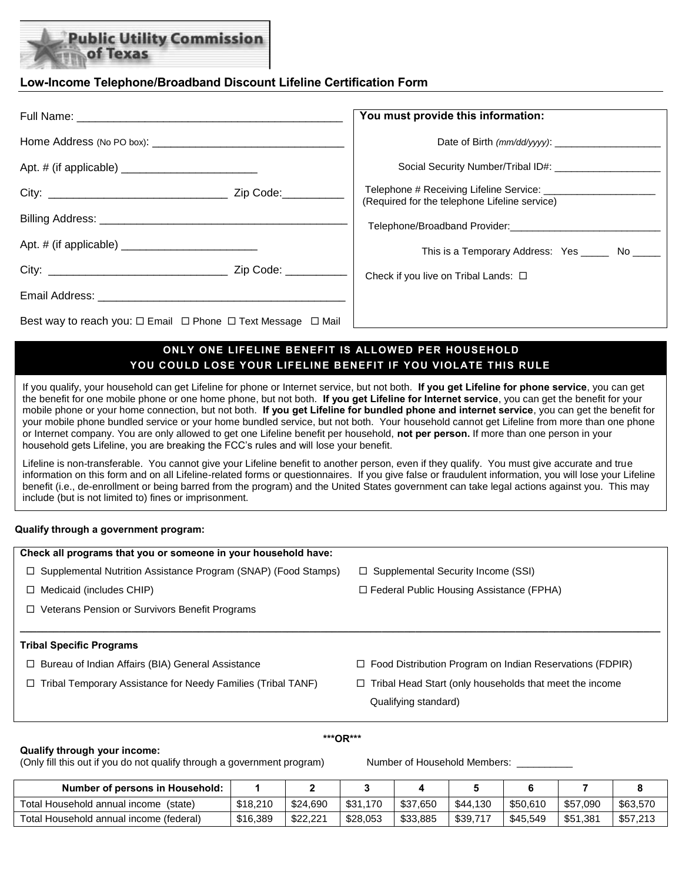# ublic Utility Commission of Texas

## **Low-Income Telephone/Broadband Discount Lifeline Certification Form**

|                                                                                  | You must provide this information:                |  |  |  |
|----------------------------------------------------------------------------------|---------------------------------------------------|--|--|--|
|                                                                                  |                                                   |  |  |  |
|                                                                                  |                                                   |  |  |  |
|                                                                                  | (Required for the telephone Lifeline service)     |  |  |  |
|                                                                                  |                                                   |  |  |  |
|                                                                                  | This is a Temporary Address: Yes _______ No _____ |  |  |  |
|                                                                                  | Check if you live on Tribal Lands: □              |  |  |  |
|                                                                                  |                                                   |  |  |  |
| Best way to reach you: $\Box$ Email $\Box$ Phone $\Box$ Text Message $\Box$ Mail |                                                   |  |  |  |

## **ONLY ONE LIFELINE BENEFIT IS ALLOWED PER HOUSEHOLD YOU COULD LOSE YOUR LIFELINE BENEFIT IF YOU VIOLATE THIS RULE**

If you qualify, your household can get Lifeline for phone or Internet service, but not both. **If you get Lifeline for phone service**, you can get the benefit for one mobile phone or one home phone, but not both. **If you get Lifeline for Internet service**, you can get the benefit for your mobile phone or your home connection, but not both. **If you get Lifeline for bundled phone and internet service**, you can get the benefit for your mobile phone bundled service or your home bundled service, but not both. Your household cannot get Lifeline from more than one phone or Internet company. You are only allowed to get one Lifeline benefit per household, **not per person.** If more than one person in your household gets Lifeline, you are breaking the FCC's rules and will lose your benefit.

Lifeline is non-transferable. You cannot give your Lifeline benefit to another person, even if they qualify. You must give accurate and true information on this form and on all Lifeline-related forms or questionnaires. If you give false or fraudulent information, you will lose your Lifeline benefit (i.e., de-enrollment or being barred from the program) and the United States government can take legal actions against you. This may include (but is not limited to) fines or imprisonment.

### **Qualify through a government program:**

| Check all programs that you or someone in your household have:        |                                                                 |
|-----------------------------------------------------------------------|-----------------------------------------------------------------|
| $\Box$ Supplemental Nutrition Assistance Program (SNAP) (Food Stamps) | $\Box$ Supplemental Security Income (SSI)                       |
| $\Box$ Medicaid (includes CHIP)                                       | $\Box$ Federal Public Housing Assistance (FPHA)                 |
| □ Veterans Pension or Survivors Benefit Programs                      |                                                                 |
|                                                                       |                                                                 |
| <b>Tribal Specific Programs</b>                                       |                                                                 |
| $\Box$ Bureau of Indian Affairs (BIA) General Assistance              | $\Box$ Food Distribution Program on Indian Reservations (FDPIR) |
| $\Box$ Tribal Temporary Assistance for Needy Families (Tribal TANF)   | Tribal Head Start (only households that meet the income<br>□    |
|                                                                       | Qualifying standard)                                            |

### **Qualify through your income:**

 **\*\*\*OR\*\*\*** 

(Only fill this out if you do not qualify through a government program) Number of Household Members:

| <b>Number of persons in Household:</b>   |          |          |          |          |          |          |          |          |
|------------------------------------------|----------|----------|----------|----------|----------|----------|----------|----------|
| Total Household annual income<br>(state) | \$18,210 | \$24,690 | \$31,170 | \$37.650 | \$44,130 | \$50.610 | \$57,090 | \$63,570 |
| Total Household annual income (federal)  | \$16,389 | \$22,221 | \$28,053 | \$33,885 | \$39.7   | \$45,549 | \$51,381 | \$57,213 |